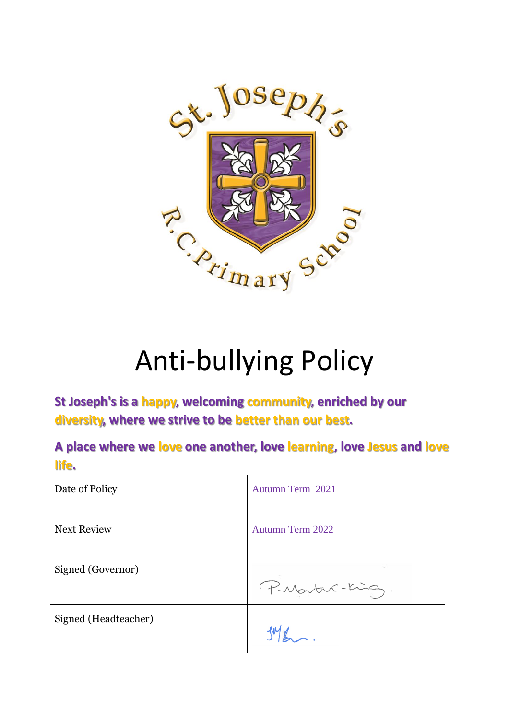

# Anti-bullying Policy

**St Joseph's is a happy, welcoming community, enriched by our diversity, where we strive to be better than our best.**

**A place where we love one another, love learning, love Jesus and love life.**

| Date of Policy       | Autumn Term 2021        |
|----------------------|-------------------------|
| <b>Next Review</b>   | <b>Autumn Term 2022</b> |
| Signed (Governor)    | P. Martin-King.         |
| Signed (Headteacher) |                         |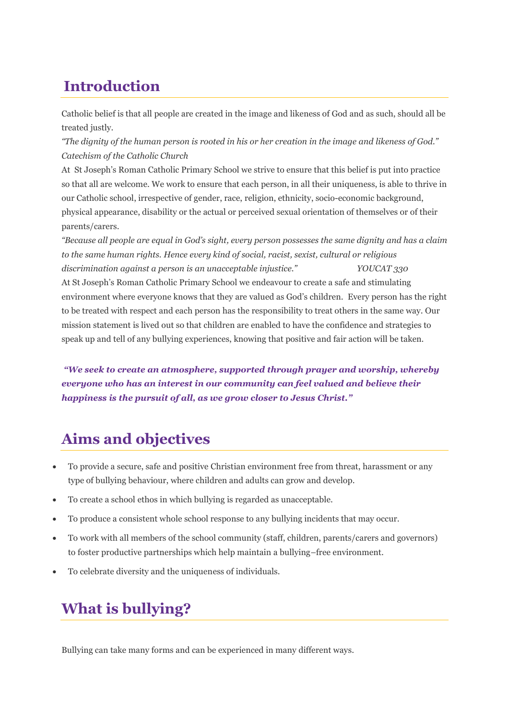# **Introduction**

Catholic belief is that all people are created in the image and likeness of God and as such, should all be treated justly.

"The dignity of the human person is rooted in his or her creation in the image and likeness of God." *Catechism of the Catholic Church*

At St Joseph's Roman Catholic Primary School we strive to ensure that this belief is put into practice so that all are welcome. We work to ensure that each person, in all their uniqueness, is able to thrive in our Catholic school, irrespective of gender, race, religion, ethnicity, socio-economic background, physical appearance, disability or the actual or perceived sexual orientation of themselves or of their parents/carers.

"Because all people are equal in God's sight, every person possesses the same dignity and has a claim *to the same human rights. Hence every kind of social, racist, sexist, cultural or religious discrimination against a person is an unacceptable injustice." YOUCAT 330* At St Joseph's Roman Catholic Primary School we endeavour to create a safe and stimulating environment where everyone knows that they are valued as God's children. Every person has the right to be treated with respect and each person has the responsibility to treat others in the same way. Our mission statement is lived out so that children are enabled to have the confidence and strategies to speak up and tell of any bullying experiences, knowing that positive and fair action will be taken.

*"We seek to create an atmosphere, supported through prayer and worship, whereby everyone who has an interest in our community can feel valued and believe their happiness is the pursuit of all, as we grow closer to Jesus Christ."*

### **Aims and objectives**

- To provide a secure, safe and positive Christian environment free from threat, harassment or any type of bullying behaviour, where children and adults can grow and develop.
- To create a school ethos in which bullying is regarded as unacceptable.
- To produce a consistent whole school response to any bullying incidents that may occur.
- To work with all members of the school community (staff, children, parents/carers and governors) to foster productive partnerships which help maintain a bullying–free environment.
- To celebrate diversity and the uniqueness of individuals.

## **What is bullying?**

Bullying can take many forms and can be experienced in many different ways.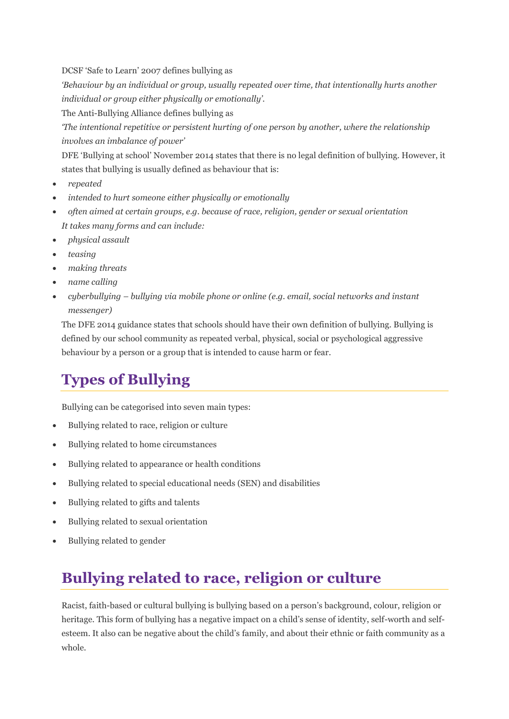DCSF 'Safe to Learn' 2007 defines bullying as

*'Behaviour by an individual or group, usually repeated over time, that intentionally hurts another individual or group either physically or emotionally'.*

The Anti-Bullying Alliance defines bullying as

*'The intentional repetitive or persistent hurting of one person by another, where the relationship involves an imbalance of power'*

DFE 'Bullying at school' November 2014 states that there is no legal definition of bullying. However, it states that bullying is usually defined as behaviour that is:

- *repeated*
- *intended to hurt someone either physically or emotionally*
- *often aimed at certain groups, e.g. because of race, religion, gender or sexual orientation It takes many forms and can include:*
- *physical assault*
- *teasing*
- *making threats*
- *name calling*
- *cyberbullying – bullying via mobile phone or online (e.g. email, social networks and instant messenger)*

The DFE 2014 guidance states that schools should have their own definition of bullying. Bullying is defined by our school community as repeated verbal, physical, social or psychological aggressive behaviour by a person or a group that is intended to cause harm or fear.

### **Types of Bullying**

Bullying can be categorised into seven main types:

- Bullying related to race, religion or culture
- Bullying related to home circumstances
- Bullying related to appearance or health conditions
- Bullying related to special educational needs (SEN) and disabilities
- Bullying related to gifts and talents
- Bullying related to sexual orientation
- Bullying related to gender

## **Bullying related to race, religion or culture**

Racist, faith-based or cultural bullying is bullying based on a person's background, colour, religion or heritage. This form of bullying has a negative impact on a child's sense of identity, self-worth and selfesteem. It also can be negative about the child's family, and about their ethnic or faith community as a whole.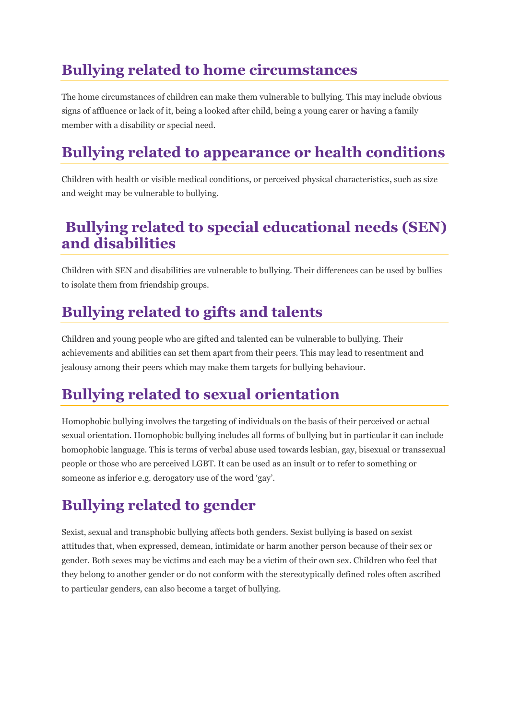# **Bullying related to home circumstances**

The home circumstances of children can make them vulnerable to bullying. This may include obvious signs of affluence or lack of it, being a looked after child, being a young carer or having a family member with a disability or special need.

# **Bullying related to appearance or health conditions**

Children with health or visible medical conditions, or perceived physical characteristics, such as size and weight may be vulnerable to bullying.

#### **Bullying related to special educational needs (SEN) and disabilities**

Children with SEN and disabilities are vulnerable to bullying. Their differences can be used by bullies to isolate them from friendship groups.

## **Bullying related to gifts and talents**

Children and young people who are gifted and talented can be vulnerable to bullying. Their achievements and abilities can set them apart from their peers. This may lead to resentment and jealousy among their peers which may make them targets for bullying behaviour.

# **Bullying related to sexual orientation**

Homophobic bullying involves the targeting of individuals on the basis of their perceived or actual sexual orientation. Homophobic bullying includes all forms of bullying but in particular it can include homophobic language. This is terms of verbal abuse used towards lesbian, gay, bisexual or transsexual people or those who are perceived LGBT. It can be used as an insult or to refer to something or someone as inferior e.g. derogatory use of the word 'gay'.

# **Bullying related to gender**

Sexist, sexual and transphobic bullying affects both genders. Sexist bullying is based on sexist attitudes that, when expressed, demean, intimidate or harm another person because of their sex or gender. Both sexes may be victims and each may be a victim of their own sex. Children who feel that they belong to another gender or do not conform with the stereotypically defined roles often ascribed to particular genders, can also become a target of bullying.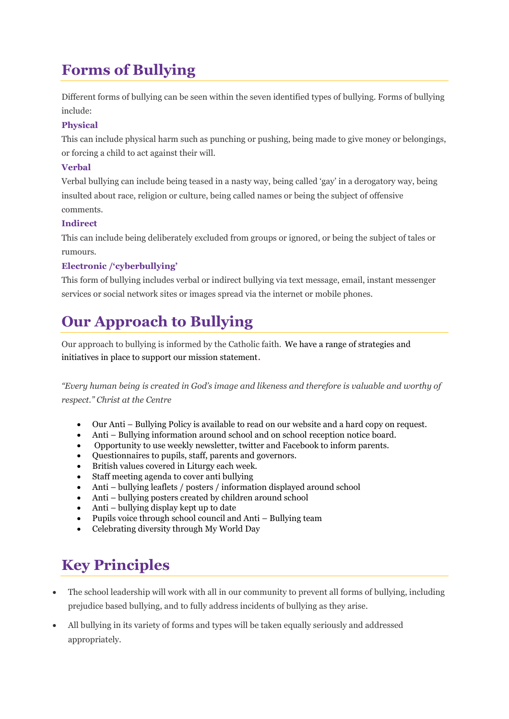# **Forms of Bullying**

Different forms of bullying can be seen within the seven identified types of bullying. Forms of bullying include:

#### **Physical**

This can include physical harm such as punching or pushing, being made to give money or belongings, or forcing a child to act against their will.

#### **Verbal**

Verbal bullying can include being teased in a nasty way, being called 'gay' in a derogatory way, being insulted about race, religion or culture, being called names or being the subject of offensive comments.

#### **Indirect**

This can include being deliberately excluded from groups or ignored, or being the subject of tales or rumours.

#### **Electronic /'cyberbullying'**

This form of bullying includes verbal or indirect bullying via text message, email, instant messenger services or social network sites or images spread via the internet or mobile phones.

## **Our Approach to Bullying**

Our approach to bullying is informed by the Catholic faith. We have a range of strategies and initiatives in place to support our mission statement.

*"Every human being is created in God's image and likeness and therefore is valuable and worthy of respect." Christ at the Centre* 

- Our Anti Bullying Policy is available to read on our website and a hard copy on request.
- Anti Bullying information around school and on school reception notice board.
- Opportunity to use weekly newsletter, twitter and Facebook to inform parents.
- Questionnaires to pupils, staff, parents and governors.
- British values covered in Liturgy each week.
- Staff meeting agenda to cover anti bullying
- Anti bullying leaflets / posters / information displayed around school
- Anti bullying posters created by children around school
- Anti bullying display kept up to date
- Pupils voice through school council and Anti Bullying team
- Celebrating diversity through My World Day

## **Key Principles**

- The school leadership will work with all in our community to prevent all forms of bullying, including prejudice based bullying, and to fully address incidents of bullying as they arise.
- All bullying in its variety of forms and types will be taken equally seriously and addressed appropriately.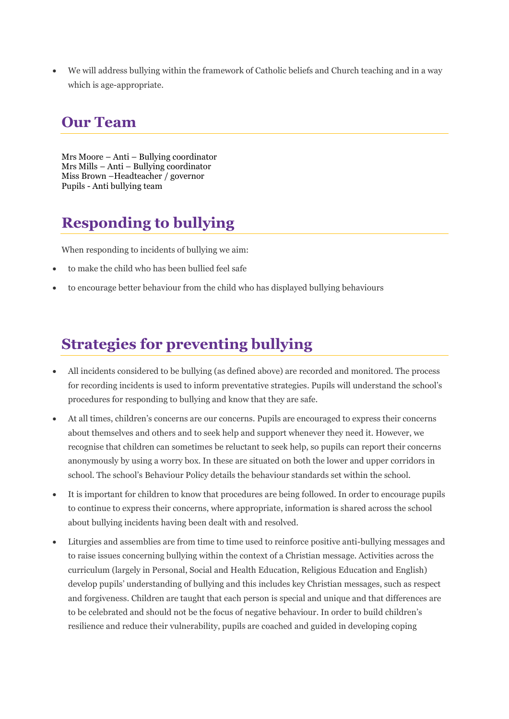• We will address bullying within the framework of Catholic beliefs and Church teaching and in a way which is age-appropriate.

#### **Our Team**

Mrs Moore – Anti – Bullying coordinator Mrs Mills – Anti – Bullying coordinator Miss Brown –Headteacher / governor Pupils - Anti bullying team

# **Responding to bullying**

When responding to incidents of bullying we aim:

- to make the child who has been bullied feel safe
- to encourage better behaviour from the child who has displayed bullying behaviours

### **Strategies for preventing bullying**

- All incidents considered to be bullying (as defined above) are recorded and monitored. The process for recording incidents is used to inform preventative strategies. Pupils will understand the school's procedures for responding to bullying and know that they are safe.
- At all times, children's concerns are our concerns. Pupils are encouraged to express their concerns about themselves and others and to seek help and support whenever they need it. However, we recognise that children can sometimes be reluctant to seek help, so pupils can report their concerns anonymously by using a worry box. In these are situated on both the lower and upper corridors in school. The school's Behaviour Policy details the behaviour standards set within the school.
- It is important for children to know that procedures are being followed. In order to encourage pupils to continue to express their concerns, where appropriate, information is shared across the school about bullying incidents having been dealt with and resolved.
- Liturgies and assemblies are from time to time used to reinforce positive anti-bullying messages and to raise issues concerning bullying within the context of a Christian message. Activities across the curriculum (largely in Personal, Social and Health Education, Religious Education and English) develop pupils' understanding of bullying and this includes key Christian messages, such as respect and forgiveness. Children are taught that each person is special and unique and that differences are to be celebrated and should not be the focus of negative behaviour. In order to build children's resilience and reduce their vulnerability, pupils are coached and guided in developing coping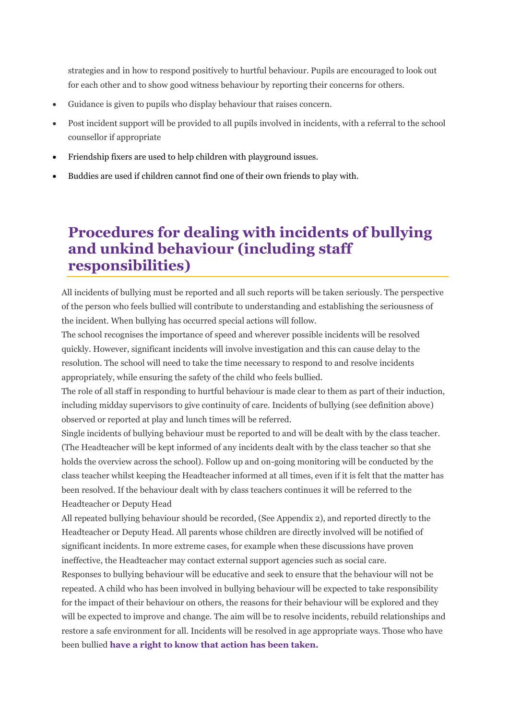strategies and in how to respond positively to hurtful behaviour. Pupils are encouraged to look out for each other and to show good witness behaviour by reporting their concerns for others.

- Guidance is given to pupils who display behaviour that raises concern.
- Post incident support will be provided to all pupils involved in incidents, with a referral to the school counsellor if appropriate
- Friendship fixers are used to help children with playground issues.
- Buddies are used if children cannot find one of their own friends to play with.

#### **Procedures for dealing with incidents of bullying and unkind behaviour (including staff responsibilities)**

All incidents of bullying must be reported and all such reports will be taken seriously. The perspective of the person who feels bullied will contribute to understanding and establishing the seriousness of the incident. When bullying has occurred special actions will follow.

The school recognises the importance of speed and wherever possible incidents will be resolved quickly. However, significant incidents will involve investigation and this can cause delay to the resolution. The school will need to take the time necessary to respond to and resolve incidents appropriately, while ensuring the safety of the child who feels bullied.

The role of all staff in responding to hurtful behaviour is made clear to them as part of their induction, including midday supervisors to give continuity of care. Incidents of bullying (see definition above) observed or reported at play and lunch times will be referred.

Single incidents of bullying behaviour must be reported to and will be dealt with by the class teacher. (The Headteacher will be kept informed of any incidents dealt with by the class teacher so that she holds the overview across the school). Follow up and on-going monitoring will be conducted by the class teacher whilst keeping the Headteacher informed at all times, even if it is felt that the matter has been resolved. If the behaviour dealt with by class teachers continues it will be referred to the Headteacher or Deputy Head

All repeated bullying behaviour should be recorded, (See Appendix 2), and reported directly to the Headteacher or Deputy Head. All parents whose children are directly involved will be notified of significant incidents. In more extreme cases, for example when these discussions have proven ineffective, the Headteacher may contact external support agencies such as social care.

Responses to bullying behaviour will be educative and seek to ensure that the behaviour will not be repeated. A child who has been involved in bullying behaviour will be expected to take responsibility for the impact of their behaviour on others, the reasons for their behaviour will be explored and they will be expected to improve and change. The aim will be to resolve incidents, rebuild relationships and restore a safe environment for all. Incidents will be resolved in age appropriate ways. Those who have been bullied **have a right to know that action has been taken.**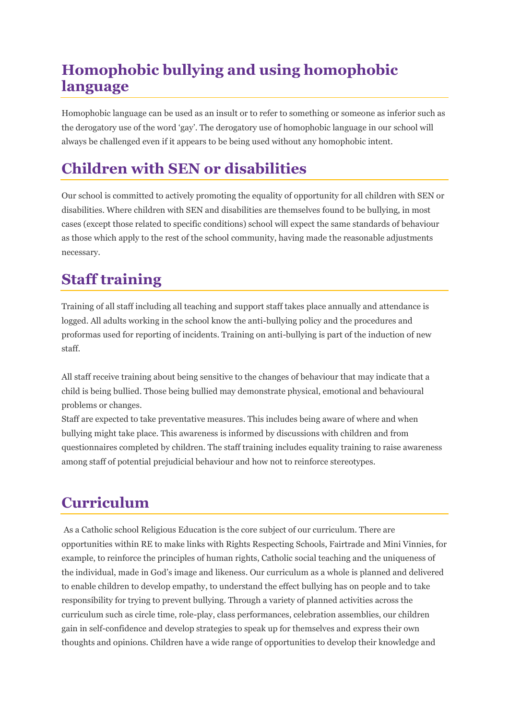## **Homophobic bullying and using homophobic language**

Homophobic language can be used as an insult or to refer to something or someone as inferior such as the derogatory use of the word 'gay'. The derogatory use of homophobic language in our school will always be challenged even if it appears to be being used without any homophobic intent.

### **Children with SEN or disabilities**

Our school is committed to actively promoting the equality of opportunity for all children with SEN or disabilities. Where children with SEN and disabilities are themselves found to be bullying, in most cases (except those related to specific conditions) school will expect the same standards of behaviour as those which apply to the rest of the school community, having made the reasonable adjustments necessary.

### **Staff training**

Training of all staff including all teaching and support staff takes place annually and attendance is logged. All adults working in the school know the anti-bullying policy and the procedures and proformas used for reporting of incidents. Training on anti-bullying is part of the induction of new staff.

All staff receive training about being sensitive to the changes of behaviour that may indicate that a child is being bullied. Those being bullied may demonstrate physical, emotional and behavioural problems or changes.

Staff are expected to take preventative measures. This includes being aware of where and when bullying might take place. This awareness is informed by discussions with children and from questionnaires completed by children. The staff training includes equality training to raise awareness among staff of potential prejudicial behaviour and how not to reinforce stereotypes.

## **Curriculum**

As a Catholic school Religious Education is the core subject of our curriculum. There are opportunities within RE to make links with Rights Respecting Schools, Fairtrade and Mini Vinnies, for example, to reinforce the principles of human rights, Catholic social teaching and the uniqueness of the individual, made in God's image and likeness. Our curriculum as a whole is planned and delivered to enable children to develop empathy, to understand the effect bullying has on people and to take responsibility for trying to prevent bullying. Through a variety of planned activities across the curriculum such as circle time, role-play, class performances, celebration assemblies, our children gain in self-confidence and develop strategies to speak up for themselves and express their own thoughts and opinions. Children have a wide range of opportunities to develop their knowledge and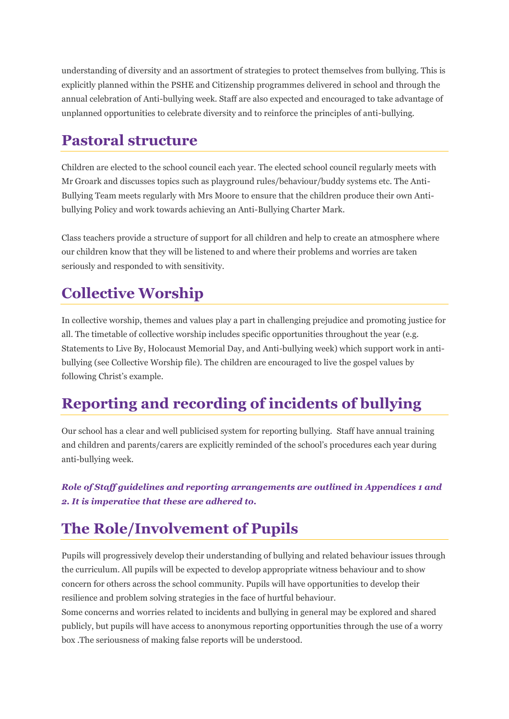understanding of diversity and an assortment of strategies to protect themselves from bullying. This is explicitly planned within the PSHE and Citizenship programmes delivered in school and through the annual celebration of Anti-bullying week. Staff are also expected and encouraged to take advantage of unplanned opportunities to celebrate diversity and to reinforce the principles of anti-bullying.

#### **Pastoral structure**

Children are elected to the school council each year. The elected school council regularly meets with Mr Groark and discusses topics such as playground rules/behaviour/buddy systems etc. The Anti-Bullying Team meets regularly with Mrs Moore to ensure that the children produce their own Antibullying Policy and work towards achieving an Anti-Bullying Charter Mark.

Class teachers provide a structure of support for all children and help to create an atmosphere where our children know that they will be listened to and where their problems and worries are taken seriously and responded to with sensitivity.

#### **Collective Worship**

In collective worship, themes and values play a part in challenging prejudice and promoting justice for all. The timetable of collective worship includes specific opportunities throughout the year (e.g. Statements to Live By, Holocaust Memorial Day, and Anti-bullying week) which support work in antibullying (see Collective Worship file). The children are encouraged to live the gospel values by following Christ's example.

## **Reporting and recording of incidents of bullying**

Our school has a clear and well publicised system for reporting bullying. Staff have annual training and children and parents/carers are explicitly reminded of the school's procedures each year during anti-bullying week.

*Role of Staff guidelines and reporting arrangements are outlined in Appendices 1 and 2. It is imperative that these are adhered to.*

### **The Role/Involvement of Pupils**

Pupils will progressively develop their understanding of bullying and related behaviour issues through the curriculum. All pupils will be expected to develop appropriate witness behaviour and to show concern for others across the school community. Pupils will have opportunities to develop their resilience and problem solving strategies in the face of hurtful behaviour.

Some concerns and worries related to incidents and bullying in general may be explored and shared publicly, but pupils will have access to anonymous reporting opportunities through the use of a worry box .The seriousness of making false reports will be understood.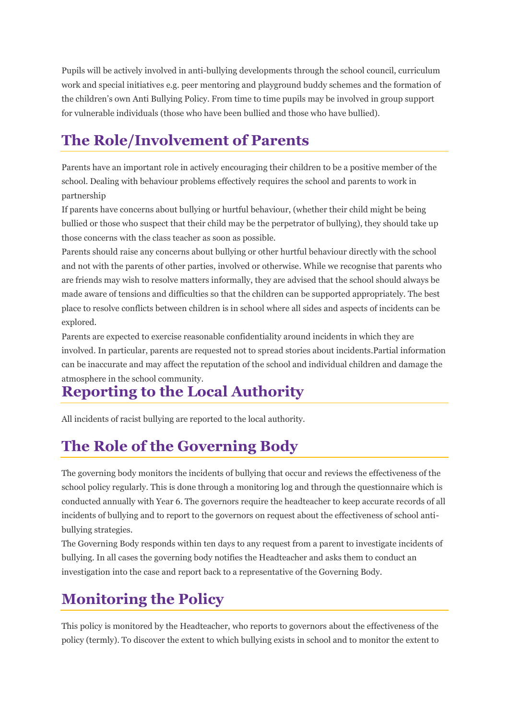Pupils will be actively involved in anti-bullying developments through the school council, curriculum work and special initiatives e.g. peer mentoring and playground buddy schemes and the formation of the children's own Anti Bullying Policy. From time to time pupils may be involved in group support for vulnerable individuals (those who have been bullied and those who have bullied).

## **The Role/Involvement of Parents**

Parents have an important role in actively encouraging their children to be a positive member of the school. Dealing with behaviour problems effectively requires the school and parents to work in partnership

If parents have concerns about bullying or hurtful behaviour, (whether their child might be being bullied or those who suspect that their child may be the perpetrator of bullying), they should take up those concerns with the class teacher as soon as possible.

Parents should raise any concerns about bullying or other hurtful behaviour directly with the school and not with the parents of other parties, involved or otherwise. While we recognise that parents who are friends may wish to resolve matters informally, they are advised that the school should always be made aware of tensions and difficulties so that the children can be supported appropriately. The best place to resolve conflicts between children is in school where all sides and aspects of incidents can be explored.

Parents are expected to exercise reasonable confidentiality around incidents in which they are involved. In particular, parents are requested not to spread stories about incidents.Partial information can be inaccurate and may affect the reputation of the school and individual children and damage the atmosphere in the school community.

# **Reporting to the Local Authority**

All incidents of racist bullying are reported to the local authority.

# **The Role of the Governing Body**

The governing body monitors the incidents of bullying that occur and reviews the effectiveness of the school policy regularly. This is done through a monitoring log and through the questionnaire which is conducted annually with Year 6. The governors require the headteacher to keep accurate records of all incidents of bullying and to report to the governors on request about the effectiveness of school antibullying strategies.

The Governing Body responds within ten days to any request from a parent to investigate incidents of bullying. In all cases the governing body notifies the Headteacher and asks them to conduct an investigation into the case and report back to a representative of the Governing Body.

# **Monitoring the Policy**

This policy is monitored by the Headteacher, who reports to governors about the effectiveness of the policy (termly). To discover the extent to which bullying exists in school and to monitor the extent to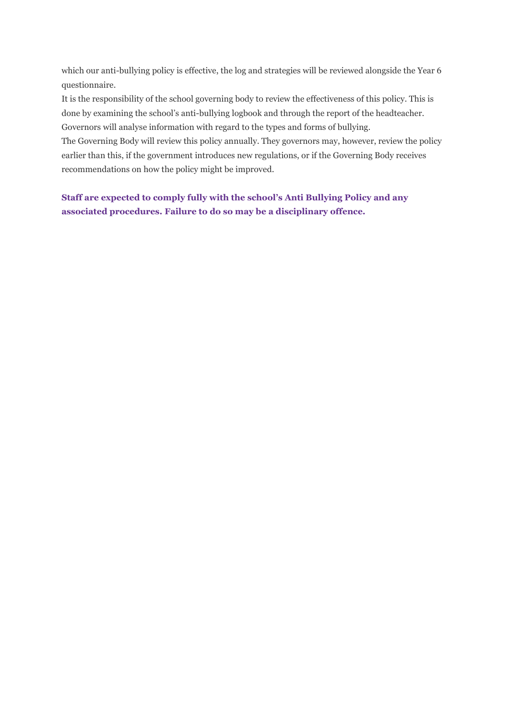which our anti-bullying policy is effective, the log and strategies will be reviewed alongside the Year 6 questionnaire.

It is the responsibility of the school governing body to review the effectiveness of this policy. This is done by examining the school's anti-bullying logbook and through the report of the headteacher. Governors will analyse information with regard to the types and forms of bullying.

The Governing Body will review this policy annually. They governors may, however, review the policy earlier than this, if the government introduces new regulations, or if the Governing Body receives recommendations on how the policy might be improved.

**Staff are expected to comply fully with the school's Anti Bullying Policy and any associated procedures. Failure to do so may be a disciplinary offence.**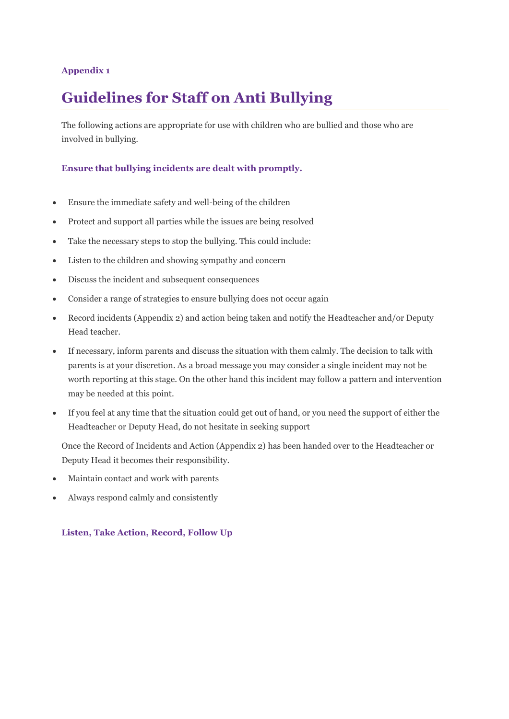#### **Appendix 1**

### **Guidelines for Staff on Anti Bullying**

The following actions are appropriate for use with children who are bullied and those who are involved in bullying.

#### **Ensure that bullying incidents are dealt with promptly.**

- Ensure the immediate safety and well-being of the children
- Protect and support all parties while the issues are being resolved
- Take the necessary steps to stop the bullying. This could include:
- Listen to the children and showing sympathy and concern
- Discuss the incident and subsequent consequences
- Consider a range of strategies to ensure bullying does not occur again
- Record incidents (Appendix 2) and action being taken and notify the Headteacher and/or Deputy Head teacher.
- If necessary, inform parents and discuss the situation with them calmly. The decision to talk with parents is at your discretion. As a broad message you may consider a single incident may not be worth reporting at this stage. On the other hand this incident may follow a pattern and intervention may be needed at this point.
- If you feel at any time that the situation could get out of hand, or you need the support of either the Headteacher or Deputy Head, do not hesitate in seeking support

Once the Record of Incidents and Action (Appendix 2) has been handed over to the Headteacher or Deputy Head it becomes their responsibility.

- Maintain contact and work with parents
- Always respond calmly and consistently

#### **Listen, Take Action, Record, Follow Up**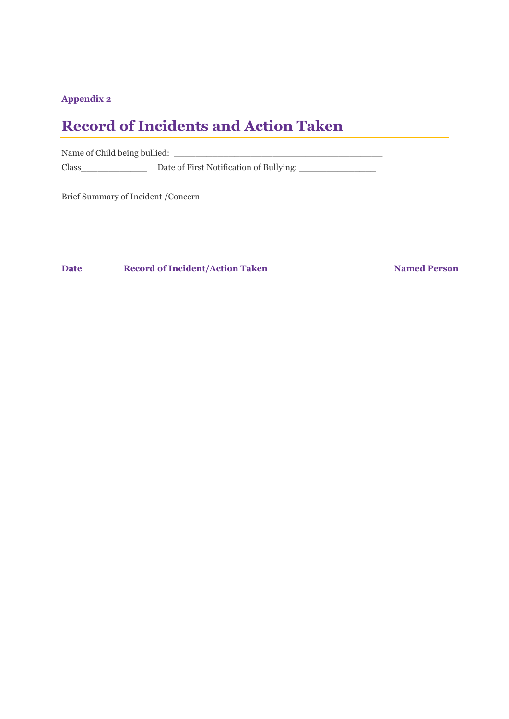#### **Appendix 2**

#### **Record of Incidents and Action Taken**

Name of Child being bullied: Class\_\_\_\_\_\_\_\_\_\_\_\_\_\_\_\_\_\_\_\_\_\_ Date of First Notification of Bullying: \_\_\_\_\_\_\_\_\_\_\_\_\_\_\_\_\_\_\_

Brief Summary of Incident /Concern

**Date Record of Incident/Action Taken Named Person**